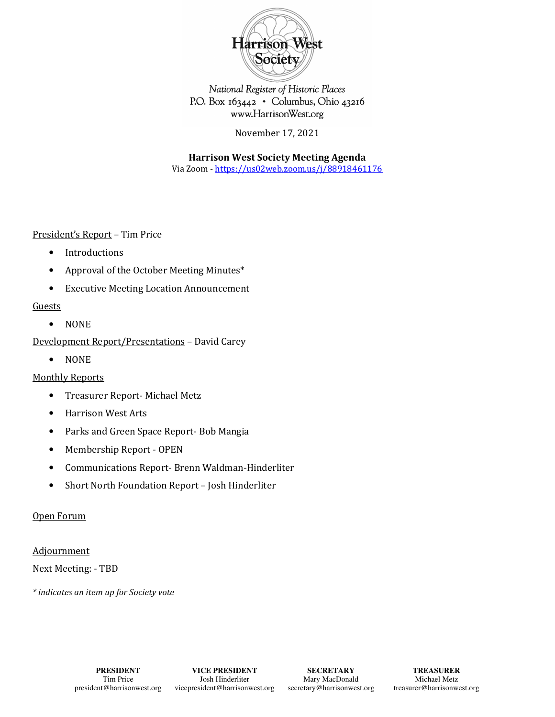

National Register of Historic Places P.O. Box 163442 • Columbus, Ohio 43216 www.HarrisonWest.org

November 17, 2021

**Harrison West Society Meeting Agenda** 

Via Zoom - https://us02web.zoom.us/j/88918461176

President's Report – Tim Price

- Introductions
- Approval of the October Meeting Minutes\*
- Executive Meeting Location Announcement

#### **Guests**

• NONE

Development Report/Presentations – David Carey

• NONE

## Monthly Reports

- Treasurer Report- Michael Metz
- Harrison West Arts
- Parks and Green Space Report- Bob Mangia
- Membership Report OPEN
- Communications Report- Brenn Waldman-Hinderliter
- Short North Foundation Report Josh Hinderliter

## Open Forum

#### Adjournment

Next Meeting: - TBD

*\* indicates an item up for Society vote*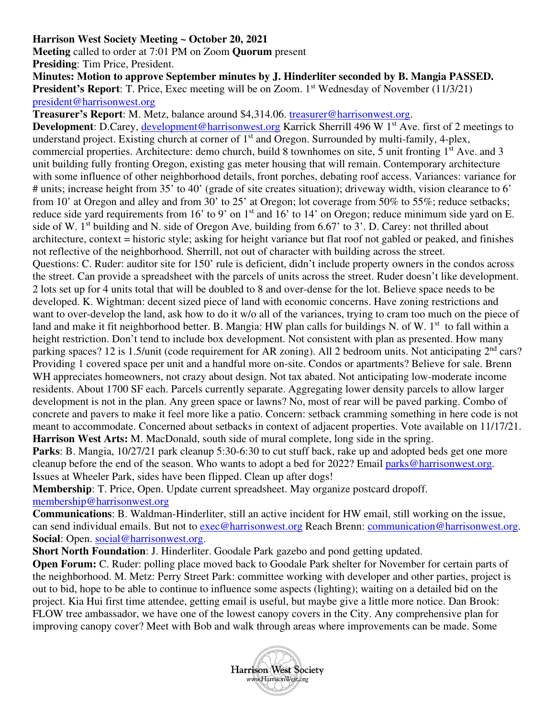# **Harrison West Society Meeting ~ October 20, 2021**

**Meeting** called to order at 7:01 PM on Zoom **Quorum** present

**Presiding**: Tim Price, President.

**Minutes: Motion to approve September minutes by J. Hinderliter seconded by B. Mangia PASSED. President's Report:** T. Price, Exec meeting will be on Zoom. 1<sup>st</sup> Wednesday of November (11/3/21) president@harrisonwest.org

**Treasurer's Report**: M. Metz, balance around \$4,314.06. treasurer@harrisonwest.org.

**Development**: D.Carey, development@harrisonwest.org Karrick Sherrill 496 W 1<sup>st</sup> Ave. first of 2 meetings to understand project. Existing church at corner of 1<sup>st</sup> and Oregon. Surrounded by multi-family, 4-plex, commercial properties. Architecture: demo church, build 8 townhomes on site, 5 unit fronting 1<sup>st</sup> Ave. and 3 unit building fully fronting Oregon, existing gas meter housing that will remain. Contemporary architecture with some influence of other neighborhood details, front porches, debating roof access. Variances: variance for # units; increase height from 35' to 40' (grade of site creates situation); driveway width, vision clearance to 6' from 10' at Oregon and alley and from 30' to 25' at Oregon; lot coverage from 50% to 55%; reduce setbacks; reduce side yard requirements from 16' to 9' on 1<sup>st</sup> and 16' to 14' on Oregon; reduce minimum side yard on E. side of W. 1<sup>st</sup> building and N. side of Oregon Ave. building from 6.67' to 3'. D. Carey: not thrilled about architecture, context = historic style; asking for height variance but flat roof not gabled or peaked, and finishes not reflective of the neighborhood. Sherrill, not out of character with building across the street. Questions: C. Ruder: auditor site for 150' rule is deficient, didn't include property owners in the condos across the street. Can provide a spreadsheet with the parcels of units across the street. Ruder doesn't like development. 2 lots set up for 4 units total that will be doubled to 8 and over-dense for the lot. Believe space needs to be developed. K. Wightman: decent sized piece of land with economic concerns. Have zoning restrictions and want to over-develop the land, ask how to do it w/o all of the variances, trying to cram too much on the piece of land and make it fit neighborhood better. B. Mangia: HW plan calls for buildings N. of W. 1<sup>st</sup> to fall within a height restriction. Don't tend to include box development. Not consistent with plan as presented. How many

parking spaces? 12 is 1.5/unit (code requirement for AR zoning). All 2 bedroom units. Not anticipating  $2^{nd}$  cars? Providing 1 covered space per unit and a handful more on-site. Condos or apartments? Believe for sale. Brenn WH appreciates homeowners, not crazy about design. Not tax abated. Not anticipating low-moderate income residents. About 1700 SF each. Parcels currently separate. Aggregating lower density parcels to allow larger development is not in the plan. Any green space or lawns? No, most of rear will be paved parking. Combo of concrete and pavers to make it feel more like a patio. Concern: setback cramming something in here code is not meant to accommodate. Concerned about setbacks in context of adjacent properties. Vote available on 11/17/21. **Harrison West Arts:** M. MacDonald, south side of mural complete, long side in the spring.

**Parks**: B. Mangia,  $10/27/21$  park cleanup 5:30-6:30 to cut stuff back, rake up and adopted beds get one more cleanup before the end of the season. Who wants to adopt a bed for 2022? Email parks@harrisonwest.org. Issues at Wheeler Park, sides have been flipped. Clean up after dogs!

**Membership**: T. Price, Open. Update current spreadsheet. May organize postcard dropoff. membership@harrisonwest.org

**Communications**: B. Waldman-Hinderliter, still an active incident for HW email, still working on the issue, can send individual emails. But not to exec@harrisonwest.org Reach Brenn: communication@harrisonwest.org. **Social**: Open. social@harrisonwest.org.

**Short North Foundation**: J. Hinderliter. Goodale Park gazebo and pond getting updated.

**Open Forum:** C. Ruder: polling place moved back to Goodale Park shelter for November for certain parts of the neighborhood. M. Metz: Perry Street Park: committee working with developer and other parties, project is out to bid, hope to be able to continue to influence some aspects (lighting); waiting on a detailed bid on the project. Kia Hui first time attendee, getting email is useful, but maybe give a little more notice. Dan Brook: FLOW tree ambassador, we have one of the lowest canopy covers in the City. Any comprehensive plan for improving canopy cover? Meet with Bob and walk through areas where improvements can be made. Some